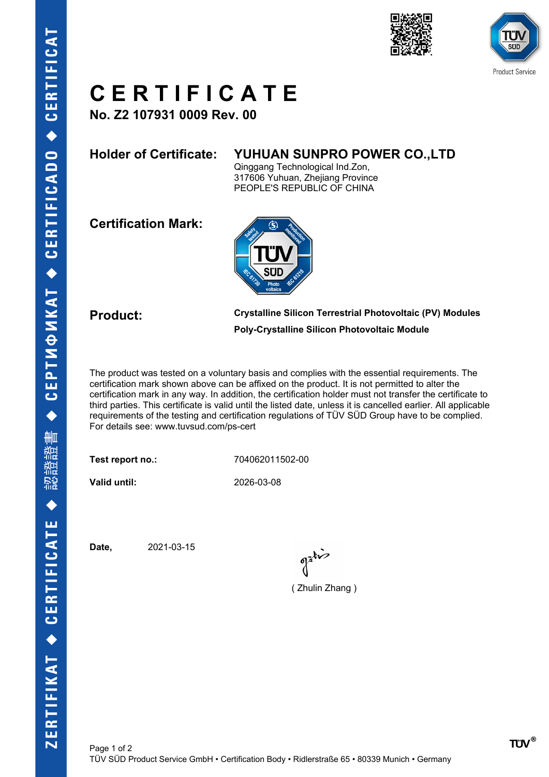



## **C E R T I F I C A T E**

**No. Z2 107931 0009 Rev. 00**

### **Holder of Certificate: YUHUAN SUNPRO POWER CO.,LTD**

Qinggang Technological Ind.Zon, 317606 Yuhuan, Zhejiang Province PEOPLE'S REPUBLIC OF CHINA

**Certification Mark:**



**Product: Crystalline Silicon Terrestrial Photovoltaic (PV) Modules Poly-Crystalline Silicon Photovoltaic Module**

The product was tested on a voluntary basis and complies with the essential requirements. The certification mark shown above can be affixed on the product. It is not permitted to alter the certification mark in any way. In addition, the certification holder must not transfer the certificate to third parties. This certificate is valid until the listed date, unless it is cancelled earlier. All applicable requirements of the testing and certification regulations of TÜV SÜD Group have to be complied. For details see: www.tuvsud.com/ps-cert

**Test report no.:** 704062011502-00

**Valid until:** 2026-03-08

**Date,** 2021-03-15

 $\int_0^{\frac{1}{2}} dx$ 

( Zhulin Zhang )